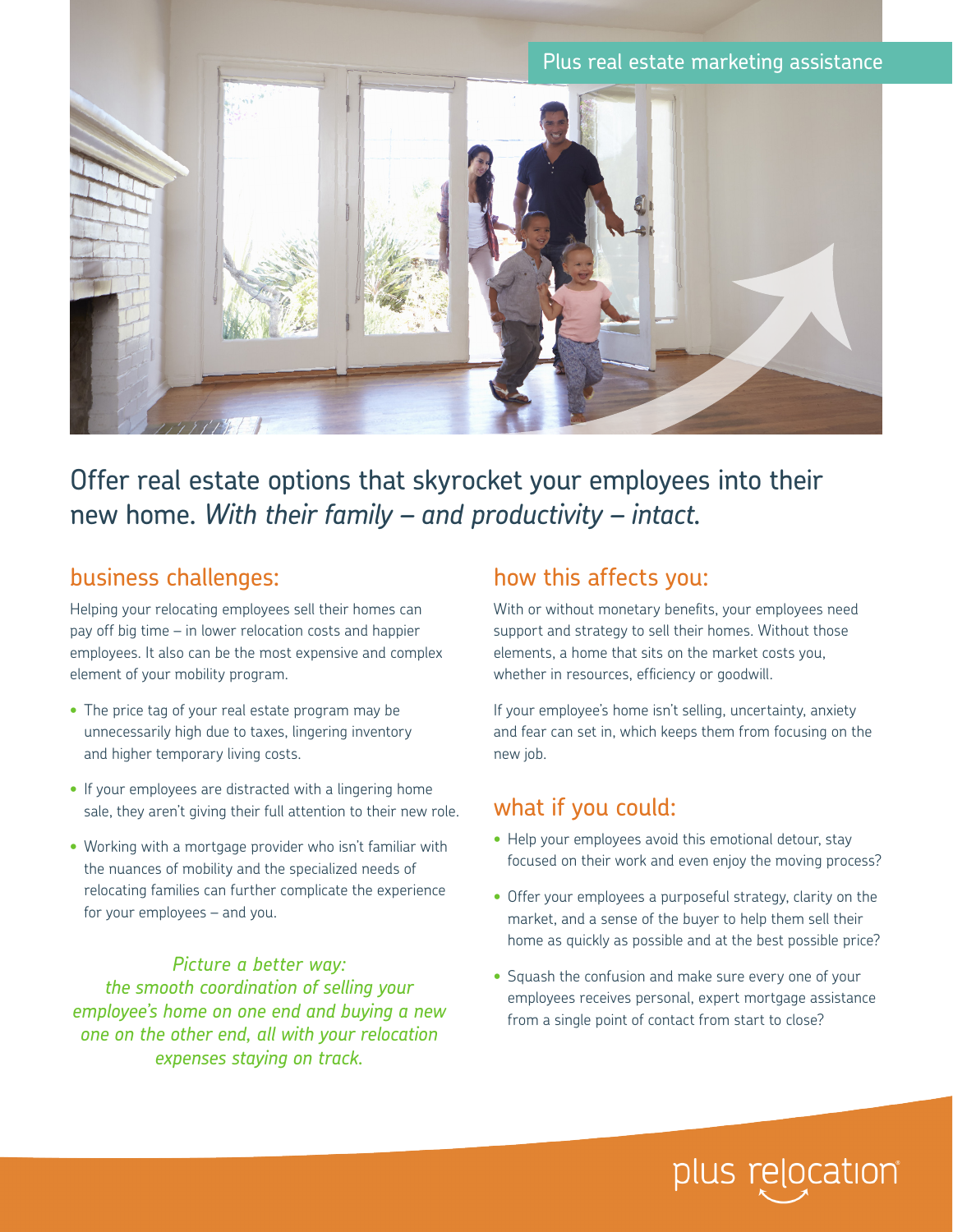

Offer real estate options that skyrocket your employees into their new home. *With their family – and productivity – intact.*

## business challenges:

Helping your relocating employees sell their homes can pay off big time – in lower relocation costs and happier employees. It also can be the most expensive and complex element of your mobility program.

- The price tag of your real estate program may be unnecessarily high due to taxes, lingering inventory and higher temporary living costs.
- If your employees are distracted with a lingering home sale, they aren't giving their full attention to their new role.
- Working with a mortgage provider who isn't familiar with the nuances of mobility and the specialized needs of relocating families can further complicate the experience for your employees – and you.

*Picture a better way: the smooth coordination of selling your employee's home on one end and buying a new one on the other end, all with your relocation expenses staying on track.*

# how this affects you:

With or without monetary benefits, your employees need support and strategy to sell their homes. Without those elements, a home that sits on the market costs you, whether in resources, efficiency or goodwill.

If your employee's home isn't selling, uncertainty, anxiety and fear can set in, which keeps them from focusing on the new job.

## what if you could:

- Help your employees avoid this emotional detour, stay focused on their work and even enjoy the moving process?
- Offer your employees a purposeful strategy, clarity on the market, and a sense of the buyer to help them sell their home as quickly as possible and at the best possible price?
- Squash the confusion and make sure every one of your employees receives personal, expert mortgage assistance from a single point of contact from start to close?